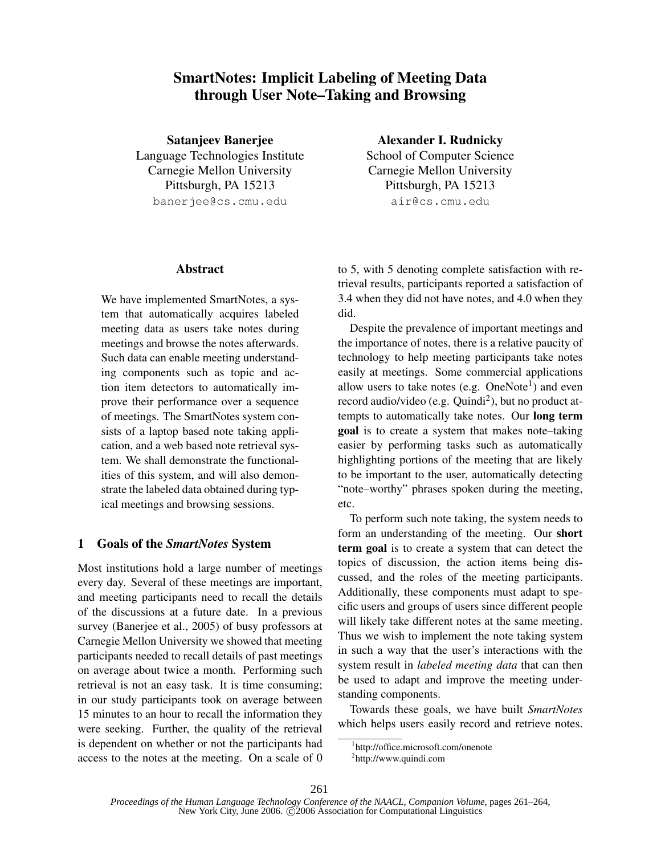# SmartNotes: Implicit Labeling of Meeting Data through User Note–Taking and Browsing

Satanjeev Banerjee Language Technologies Institute Carnegie Mellon University Pittsburgh, PA 15213 banerjee@cs.cmu.edu

#### **Abstract**

We have implemented SmartNotes, a system that automatically acquires labeled meeting data as users take notes during meetings and browse the notes afterwards. Such data can enable meeting understanding components such as topic and action item detectors to automatically improve their performance over a sequence of meetings. The SmartNotes system consists of a laptop based note taking application, and a web based note retrieval system. We shall demonstrate the functionalities of this system, and will also demonstrate the labeled data obtained during typical meetings and browsing sessions.

### 1 Goals of the SmartNotes System

Most institutions hold a large number of meetings every day. Several of these meetings are important, and meeting participants need to recall the details of the discussions at a future date. In a previous survey (Banerjee et al., 2005) of busy professors at Carnegie Mellon University we showed that meeting participants needed to recall details of past meetings on average about twice a month. Performing such retrieval is not an easy task. It is time consuming; in our study participants took on average between 15 minutes to an hour to recall the information they were seeking. Further, the quality of the retrieval is dependent on whether or not the participants had access to the notes at the meeting. On a scale of 0

Alexander I. Rudnicky School of Computer Science Carnegie Mellon University Pittsburgh, PA 15213 air@cs.cmu.edu

to 5, with 5 denoting complete satisfaction with retrieval results, participants reported a satisfaction of 3.4 when they did not have notes, and 4.0 when they did.

Despite the prevalence of important meetings and the importance of notes, there is a relative paucity of technology to help meeting participants take notes easily at meetings. Some commercial applications allow users to take notes (e.g.  $OneNote<sup>1</sup>$ ) and even record audio/video (e.g. Quindi<sup>2</sup>), but no product attempts to automatically take notes. Our long term goal is to create a system that makes note–taking easier by performing tasks such as automatically highlighting portions of the meeting that are likely to be important to the user, automatically detecting "note–worthy" phrases spoken during the meeting, etc.

To perform such note taking, the system needs to form an understanding of the meeting. Our short term goal is to create a system that can detect the topics of discussion, the action items being discussed, and the roles of the meeting participants. Additionally, these components must adapt to specific users and groups of users since different people will likely take different notes at the same meeting. Thus we wish to implement the note taking system in such a way that the user's interactions with the system result in labeled meeting data that can then be used to adapt and improve the meeting understanding components.

Towards these goals, we have built SmartNotes which helps users easily record and retrieve notes.

<sup>1</sup> http://office.microsoft.com/onenote

<sup>2</sup> http://www.quindi.com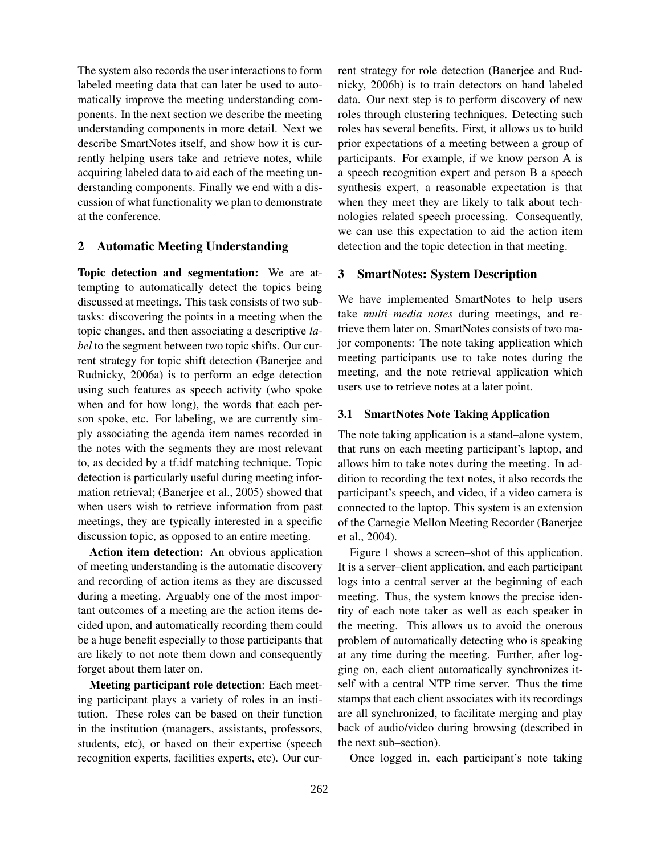The system also records the user interactions to form labeled meeting data that can later be used to automatically improve the meeting understanding components. In the next section we describe the meeting understanding components in more detail. Next we describe SmartNotes itself, and show how it is currently helping users take and retrieve notes, while acquiring labeled data to aid each of the meeting understanding components. Finally we end with a discussion of what functionality we plan to demonstrate at the conference.

## 2 Automatic Meeting Understanding

Topic detection and segmentation: We are attempting to automatically detect the topics being discussed at meetings. This task consists of two subtasks: discovering the points in a meeting when the topic changes, and then associating a descriptive label to the segment between two topic shifts. Our current strategy for topic shift detection (Banerjee and Rudnicky, 2006a) is to perform an edge detection using such features as speech activity (who spoke when and for how long), the words that each person spoke, etc. For labeling, we are currently simply associating the agenda item names recorded in the notes with the segments they are most relevant to, as decided by a tf.idf matching technique. Topic detection is particularly useful during meeting information retrieval; (Banerjee et al., 2005) showed that when users wish to retrieve information from past meetings, they are typically interested in a specific discussion topic, as opposed to an entire meeting.

Action item detection: An obvious application of meeting understanding is the automatic discovery and recording of action items as they are discussed during a meeting. Arguably one of the most important outcomes of a meeting are the action items decided upon, and automatically recording them could be a huge benefit especially to those participants that are likely to not note them down and consequently forget about them later on.

Meeting participant role detection: Each meeting participant plays a variety of roles in an institution. These roles can be based on their function in the institution (managers, assistants, professors, students, etc), or based on their expertise (speech recognition experts, facilities experts, etc). Our current strategy for role detection (Banerjee and Rudnicky, 2006b) is to train detectors on hand labeled data. Our next step is to perform discovery of new roles through clustering techniques. Detecting such roles has several benefits. First, it allows us to build prior expectations of a meeting between a group of participants. For example, if we know person A is a speech recognition expert and person B a speech synthesis expert, a reasonable expectation is that when they meet they are likely to talk about technologies related speech processing. Consequently, we can use this expectation to aid the action item detection and the topic detection in that meeting.

#### 3 SmartNotes: System Description

We have implemented SmartNotes to help users take multi–media notes during meetings, and retrieve them later on. SmartNotes consists of two major components: The note taking application which meeting participants use to take notes during the meeting, and the note retrieval application which users use to retrieve notes at a later point.

#### 3.1 SmartNotes Note Taking Application

The note taking application is a stand–alone system, that runs on each meeting participant's laptop, and allows him to take notes during the meeting. In addition to recording the text notes, it also records the participant's speech, and video, if a video camera is connected to the laptop. This system is an extension of the Carnegie Mellon Meeting Recorder (Banerjee et al., 2004).

Figure 1 shows a screen–shot of this application. It is a server–client application, and each participant logs into a central server at the beginning of each meeting. Thus, the system knows the precise identity of each note taker as well as each speaker in the meeting. This allows us to avoid the onerous problem of automatically detecting who is speaking at any time during the meeting. Further, after logging on, each client automatically synchronizes itself with a central NTP time server. Thus the time stamps that each client associates with its recordings are all synchronized, to facilitate merging and play back of audio/video during browsing (described in the next sub–section).

Once logged in, each participant's note taking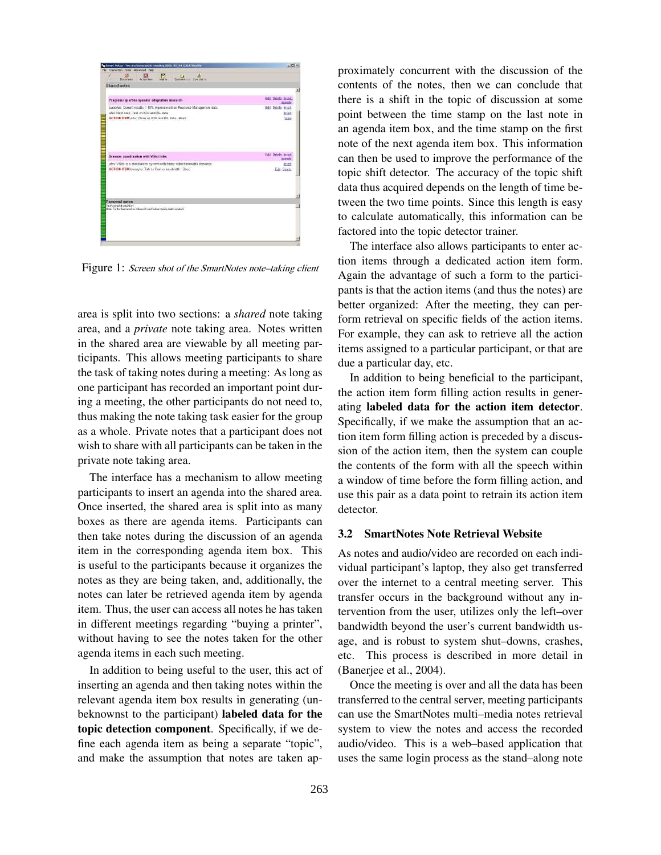

Figure 1: Screen shot of the SmartNotes note-taking client

area is split into two sections: a shared note taking area, and a private note taking area. Notes written in the shared area are viewable by all meeting participants. This allows meeting participants to share the task of taking notes during a meeting: As long as one participant has recorded an important point during a meeting, the other participants do not need to, thus making the note taking task easier for the group as a whole. Private notes that a participant does not wish to share with all participants can be taken in the private note taking area.

The interface has a mechanism to allow meeting participants to insert an agenda into the shared area. Once inserted, the shared area is split into as many boxes as there are agenda items. Participants can then take notes during the discussion of an agenda item in the corresponding agenda item box. This is useful to the participants because it organizes the notes as they are being taken, and, additionally, the notes can later be retrieved agenda item by agenda item. Thus, the user can access all notes he has taken in different meetings regarding "buying a printer", without having to see the notes taken for the other agenda items in each such meeting.

In addition to being useful to the user, this act of inserting an agenda and then taking notes within the relevant agenda item box results in generating (unbeknownst to the participant) labeled data for the topic detection component. Specifically, if we define each agenda item as being a separate "topic", and make the assumption that notes are taken approximately concurrent with the discussion of the contents of the notes, then we can conclude that there is a shift in the topic of discussion at some point between the time stamp on the last note in an agenda item box, and the time stamp on the first note of the next agenda item box. This information can then be used to improve the performance of the topic shift detector. The accuracy of the topic shift data thus acquired depends on the length of time between the two time points. Since this length is easy to calculate automatically, this information can be factored into the topic detector trainer.

The interface also allows participants to enter action items through a dedicated action item form. Again the advantage of such a form to the participants is that the action items (and thus the notes) are better organized: After the meeting, they can perform retrieval on specific fields of the action items. For example, they can ask to retrieve all the action items assigned to a particular participant, or that are due a particular day, etc.

In addition to being beneficial to the participant, the action item form filling action results in generating labeled data for the action item detector. Specifically, if we make the assumption that an action item form filling action is preceded by a discussion of the action item, then the system can couple the contents of the form with all the speech within a window of time before the form filling action, and use this pair as a data point to retrain its action item detector.

## 3.2 SmartNotes Note Retrieval Website

As notes and audio/video are recorded on each individual participant's laptop, they also get transferred over the internet to a central meeting server. This transfer occurs in the background without any intervention from the user, utilizes only the left–over bandwidth beyond the user's current bandwidth usage, and is robust to system shut–downs, crashes, etc. This process is described in more detail in (Banerjee et al., 2004).

Once the meeting is over and all the data has been transferred to the central server, meeting participants can use the SmartNotes multi–media notes retrieval system to view the notes and access the recorded audio/video. This is a web–based application that uses the same login process as the stand–along note